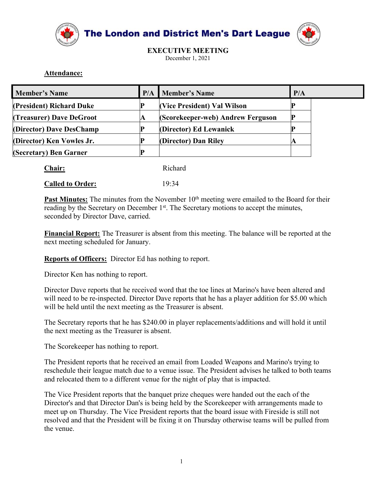



## Attendance:

| Attendance:                                                     |     | <b>The London and District Men's Dart League</b><br><b>EXECUTIVE MEETING</b><br>December 1, 2021                                                                                                                                                                                                                    |     |
|-----------------------------------------------------------------|-----|---------------------------------------------------------------------------------------------------------------------------------------------------------------------------------------------------------------------------------------------------------------------------------------------------------------------|-----|
| <b>Member's Name</b>                                            | P/A | <b>Member's Name</b>                                                                                                                                                                                                                                                                                                | P/A |
| (President) Richard Duke                                        | P   | (Vice President) Val Wilson                                                                                                                                                                                                                                                                                         |     |
| (Treasurer) Dave DeGroot                                        | A   | (Scorekeeper-web) Andrew Ferguson                                                                                                                                                                                                                                                                                   |     |
| (Director) Dave DesChamp                                        | D   | (Director) Ed Lewanick                                                                                                                                                                                                                                                                                              | D   |
| (Director) Ken Vowles Jr.                                       | D   | (Director) Dan Riley                                                                                                                                                                                                                                                                                                | A   |
| (Secretary) Ben Garner                                          | D   |                                                                                                                                                                                                                                                                                                                     |     |
| Chair:                                                          |     | Richard                                                                                                                                                                                                                                                                                                             |     |
| <b>Called to Order:</b>                                         |     | 19:34                                                                                                                                                                                                                                                                                                               |     |
| seconded by Director Dave, carried.                             |     | Past Minutes: The minutes from the November 10 <sup>th</sup> meeting were emailed to the Board for their<br>reading by the Secretary on December 1 <sup>st</sup> . The Secretary motions to accept the minutes,<br>Financial Report: The Treasurer is absent from this meeting. The balance will be reported at the |     |
| next meeting scheduled for January.                             |     |                                                                                                                                                                                                                                                                                                                     |     |
| Reports of Officers: Director Ed has nothing to report.         |     |                                                                                                                                                                                                                                                                                                                     |     |
| Director Ken has nothing to report.                             |     |                                                                                                                                                                                                                                                                                                                     |     |
| will be held until the next meeting as the Treasurer is absent. |     | Director Dave reports that he received word that the toe lines at Marino's have been altered and<br>will need to be re-inspected. Director Dave reports that he has a player addition for \$5.00 which                                                                                                              |     |
| the next meeting as the Treasurer is absent.                    |     | The Secretary reports that he has \$240.00 in player replacements/additions and will hold it until                                                                                                                                                                                                                  |     |

| Chair:                      | Richard                     |
|-----------------------------|-----------------------------|
| $\sim$ $\sim$ $\sim$ $\sim$ | $\sim$ $\sim$ $\sim$ $\sim$ |

**Chair: Chair: Representing the Represention** Condersider and Mindel The November 10<sup>th</sup> meeting were emailed to the Board for their reading by the Secretary on December 1<sup>6t</sup>. The Secretary motions to accept the minu **Chair:** Richard **Called to Order:** 19:34<br> **Past Minutes:** The minutes from the November 10<sup>th</sup> mecting were emailed to the Board for their<br>
reading by the Secretary on December 1<sup>et</sup>. The Secretary motions to accept the m **Called to Order:** 19:34<br> **Past Minuttes:** The minutes from the November  $10^{\mu}$  meeting were emailed to the Board for their<br> **Past Minuttes:** The minutes from the November  $1^{\alpha}$ . The Secretary motions to accept the mi

**Past Minutes:** The minutes from the November 10<sup>th</sup> meeting were emailed to the Board for their reading by the Scerctary on December 1<sup>st</sup>. The Secretary motions to accept the minutes, seconded by Director Dave, carried.<br> reading by the Secretary on December 1<sup>st</sup>. The Secretary motions to accept the minutes,<br>seconded by Director Dave, carried.<br> **Financial Report:** The Treasurer is absent from this meeting. The balance will be reported at t seconded by Director Dave, carried.<br> **Financial Report:** The Treasurer is absent from this meeting. The balance will be reported at the<br>
next meeting scheduled for January.<br> **Reports of Officers:** Director Ed has nothing t

**Financial Report:** The Treasurer is absent from this mecting. The balance will be reported at the<br>next mecting scheduled for January.<br>**Reports of Officers:** Director Ed has nothing to report.<br>Director Dave reports that he **Example 10** and the the state of the band of the band of the band reports and reports of Officers: Director Fel has nothing to report.<br>
Director Ken has nothing to report.<br>
Director Ken has nothing to report.<br>
Director Da Reports of Officers: Director Ed has nothing to report.<br>
Director Ken has nothing to report.<br>
Director Nave reports that he received word that the toe lines at Marino's have been altered and<br>
will be held until the next me **Reports of Officers:** Director Ed has nothing to report.<br>Director Ken has nothing to report.<br>Director Dave reports that he received word that the toe lines at Marino's have been altered and<br>will need to be re-inspected. D **Expose of Contextant** concease teams maintaining as reports.<br>Director Kan assumbing to report.<br>The President have resolved word that the toe lines at Marino's have been altered and<br>Director Dave reports that the received Director Ken has nothing to report.<br>
Director Dave reports that he received word that the toe lines at Marino<br>
will need to be re-inspected. Director Dave reports that he has a player a<br>
will be held until the next meeting